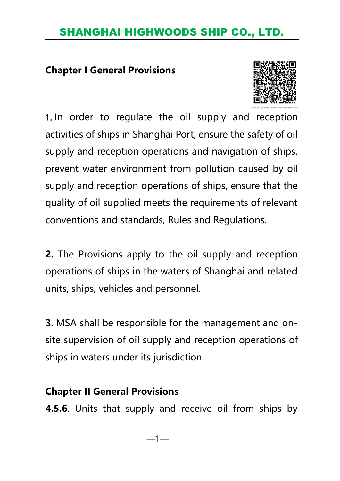#### **Chapter I General Provisions**



1.In order to regulate the oil supply and reception activities of ships in Shanghai Port, ensure the safety of oil supply and reception operations and navigation of ships, prevent water environment from pollution caused by oil supply and reception operations of ships, ensure that the quality of oil supplied meets the requirements of relevant conventions and standards, Rules and Regulations.

**2.** The Provisions apply to the oil supply and reception operations of ships in the waters of Shanghai and related units, ships, vehicles and personnel.

**3**. MSA shall be responsible for the management and onsite supervision of oil supply and reception operations of ships in waters under its jurisdiction.

#### **Chapter II General Provisions**

**4.5.6**. Units that supply and receive oil from ships by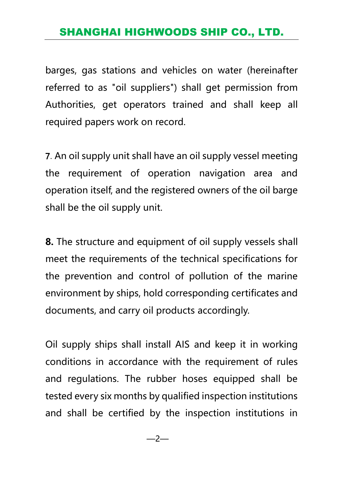barges, gas stations and vehicles on water (hereinafter referred to as "oil suppliers") shall get permission from Authorities, get operators trained and shall keep all required papers work on record.

7.An oil supply unit shall have an oil supply vessel meeting the requirement of operation navigation area and operation itself, and the registered owners of the oil barge shall be the oil supply unit.

**8.** The structure and equipment of oil supply vessels shall meet the requirements of the technical specifications for the prevention and control of pollution of the marine environment by ships, hold corresponding certificates and documents, and carry oil products accordingly.

Oil supply ships shall install AIS and keep it in working conditions in accordance with the requirement of rules and regulations. The rubber hoses equipped shall be tested every six months by qualified inspection institutions and shall be certified by the inspection institutions in

—2—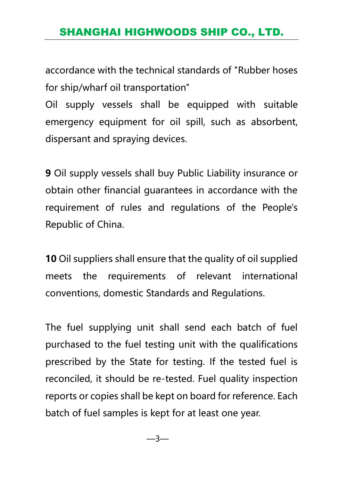accordance with the technical standards of "Rubber hoses for ship/wharf oil transportation"

Oil supply vessels shall be equipped with suitable emergency equipment for oil spill, such as absorbent, dispersant and spraying devices.

**9** Oil supply vessels shall buy Public Liability insurance or obtain other financial guarantees in accordance with the requirement of rules and regulations of the People's Republic of China.

**10** Oil suppliers shall ensure that the quality of oil supplied meets the requirements of relevant international conventions, domestic Standards and Regulations.

The fuel supplying unit shall send each batch of fuel purchased to the fuel testing unit with the qualifications prescribed by the State for testing. If the tested fuel is reconciled, it should be re-tested. Fuel quality inspection reports or copies shall be kept on board for reference. Each batch of fuel samples is kept for at least one year.

—3—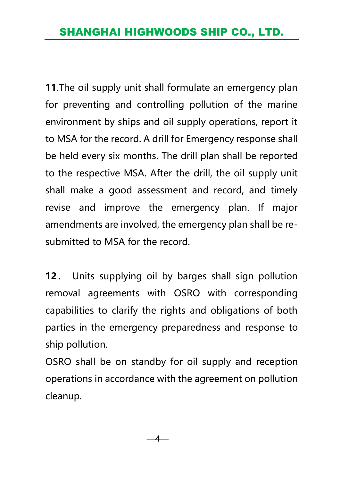**11**.The oil supply unit shall formulate an emergency plan for preventing and controlling pollution of the marine environment by ships and oil supply operations, report it to MSA for the record. A drill for Emergency response shall be held every six months. The drill plan shall be reported to the respective MSA. After the drill, the oil supply unit shall make a good assessment and record, and timely revise and improve the emergency plan. If major amendments are involved, the emergency plan shall be resubmitted to MSA for the record.

**12**. Units supplying oil by barges shall sign pollution removal agreements with OSRO with corresponding capabilities to clarify the rights and obligations of both parties in the emergency preparedness and response to ship pollution.

OSRO shall be on standby for oil supply and reception operations in accordance with the agreement on pollution cleanup.

—4—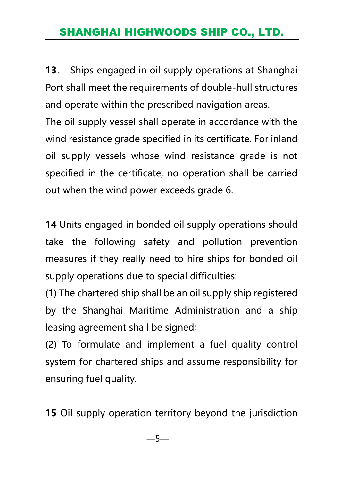**13**. Ships engaged in oil supply operations at Shanghai Port shall meet the requirements of double-hull structures and operate within the prescribed navigation areas.

The oil supply vessel shall operate in accordance with the wind resistance grade specified in its certificate. For inland oil supply vessels whose wind resistance grade is not specified in the certificate, no operation shall be carried out when the wind power exceeds grade 6.

**14** Units engaged in bonded oil supply operations should take the following safety and pollution prevention measures if they really need to hire ships for bonded oil supply operations due to special difficulties:

(1) The chartered ship shall be an oil supply ship registered by the Shanghai Maritime Administration and a ship leasing agreement shall be signed;

(2) To formulate and implement a fuel quality control system for chartered ships and assume responsibility for ensuring fuel quality.

**15** Oil supply operation territory beyond the jurisdiction

—5—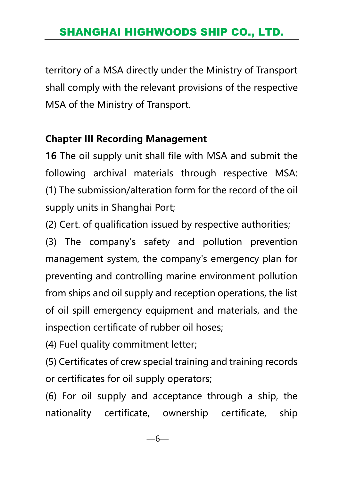territory of a MSA directly under the Ministry of Transport shall comply with the relevant provisions of the respective MSA of the Ministry of Transport.

#### **Chapter III Recording Management**

**16** The oil supply unit shall file with MSA and submit the following archival materials through respective MSA: (1) The submission/alteration form for the record of the oil supply units in Shanghai Port;

(2) Cert. of qualification issued by respective authorities;

(3) The company's safety and pollution prevention management system, the company's emergency plan for preventing and controlling marine environment pollution from ships and oil supply and reception operations, the list of oil spill emergency equipment and materials, and the inspection certificate of rubber oil hoses;

(4) Fuel quality commitment letter;

(5) Certificates of crew special training and training records or certificates for oil supply operators;

(6) For oil supply and acceptance through a ship, the nationality certificate, ownership certificate, ship

—6—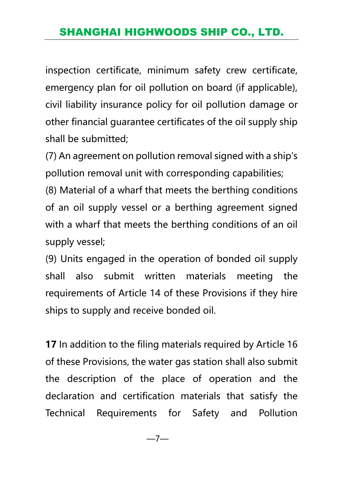inspection certificate, minimum safety crew certificate, emergency plan for oil pollution on board (if applicable), civil liability insurance policy for oil pollution damage or other financial guarantee certificates of the oil supply ship shall be submitted;

(7) An agreement on pollution removal signed with a ship's pollution removal unit with corresponding capabilities;

(8) Material of a wharf that meets the berthing conditions of an oil supply vessel or a berthing agreement signed with a wharf that meets the berthing conditions of an oil supply vessel;

(9) Units engaged in the operation of bonded oil supply shall also submit written materials meeting the requirements of Article 14 of these Provisions if they hire ships to supply and receive bonded oil.

**17** In addition to the filing materials required by Article 16 of these Provisions, the water gas station shall also submit the description of the place of operation and the declaration and certification materials that satisfy the Technical Requirements for Safety and Pollution

—7—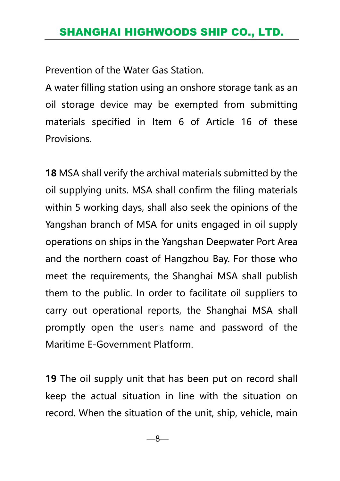Prevention of the Water Gas Station.

A water filling station using an onshore storage tank as an oil storage device may be exempted from submitting materials specified in Item 6 of Article 16 of these Provisions.

**18** MSA shall verify the archival materials submitted by the oil supplying units. MSA shall confirm the filing materials within 5 working days, shall also seek the opinions of the Yangshan branch of MSA for units engaged in oil supply operations on ships in the Yangshan Deepwater Port Area and the northern coast of Hangzhou Bay. For those who meet the requirements, the Shanghai MSA shall publish them to the public. In order to facilitate oil suppliers to carry out operational reports, the Shanghai MSA shall promptly open the user's name and password of the Maritime E-Government Platform.

**19** The oil supply unit that has been put on record shall keep the actual situation in line with the situation on record. When the situation of the unit, ship, vehicle, main

—8—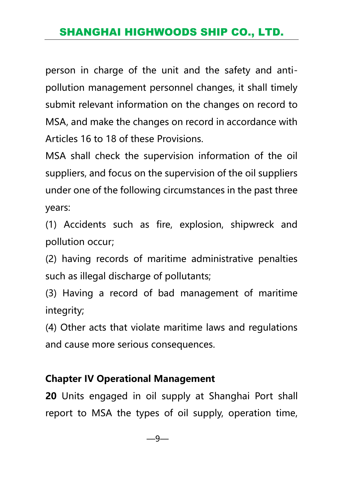person in charge of the unit and the safety and antipollution management personnel changes, it shall timely submit relevant information on the changes on record to MSA, and make the changes on record in accordance with Articles 16 to 18 of these Provisions.

MSA shall check the supervision information of the oil suppliers, and focus on the supervision of the oil suppliers under one of the following circumstances in the past three years:

(1) Accidents such as fire, explosion, shipwreck and pollution occur;

(2) having records of maritime administrative penalties such as illegal discharge of pollutants;

(3) Having a record of bad management of maritime integrity;

(4) Other acts that violate maritime laws and regulations and cause more serious consequences.

#### **Chapter IV Operational Management**

**20** Units engaged in oil supply at Shanghai Port shall report to MSA the types of oil supply, operation time,

—9—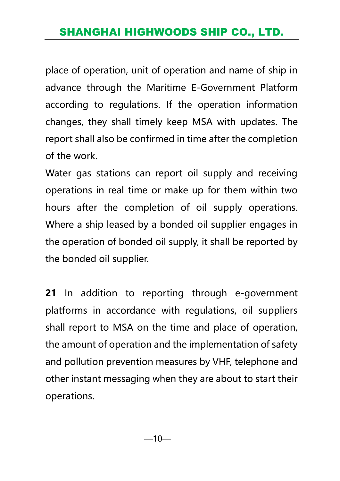place of operation, unit of operation and name of ship in advance through the Maritime E-Government Platform according to regulations. If the operation information changes, they shall timely keep MSA with updates. The report shall also be confirmed in time after the completion of the work.

Water gas stations can report oil supply and receiving operations in real time or make up for them within two hours after the completion of oil supply operations. Where a ship leased by a bonded oil supplier engages in the operation of bonded oil supply, it shall be reported by the bonded oil supplier.

**21** In addition to reporting through e-government platforms in accordance with regulations, oil suppliers shall report to MSA on the time and place of operation, the amount of operation and the implementation of safety and pollution prevention measures by VHF, telephone and other instant messaging when they are about to start their operations.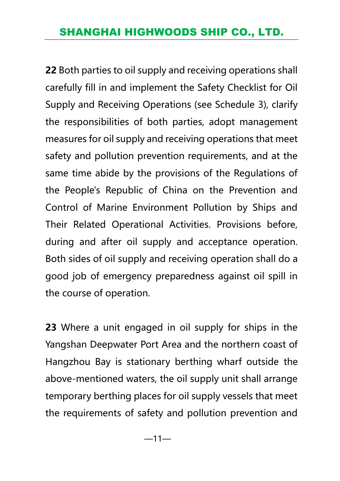**22** Both parties to oil supply and receiving operations shall carefully fill in and implement the Safety Checklist for Oil Supply and Receiving Operations (see Schedule 3), clarify the responsibilities of both parties, adopt management measures for oil supply and receiving operations that meet safety and pollution prevention requirements, and at the same time abide by the provisions of the Regulations of the People's Republic of China on the Prevention and Control of Marine Environment Pollution by Ships and Their Related Operational Activities. Provisions before, during and after oil supply and acceptance operation. Both sides of oil supply and receiving operation shall do a good job of emergency preparedness against oil spill in the course of operation.

**23** Where a unit engaged in oil supply for ships in the Yangshan Deepwater Port Area and the northern coast of Hangzhou Bay is stationary berthing wharf outside the above-mentioned waters, the oil supply unit shall arrange temporary berthing places for oil supply vessels that meet the requirements of safety and pollution prevention and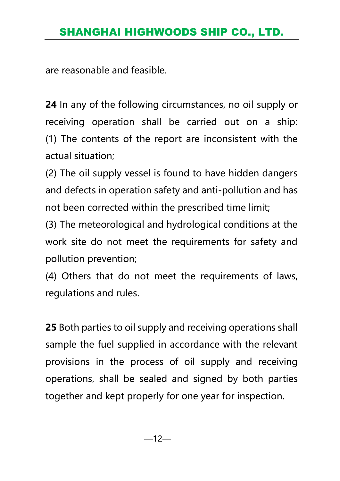are reasonable and feasible.

**24** In any of the following circumstances, no oil supply or receiving operation shall be carried out on a ship: (1) The contents of the report are inconsistent with the actual situation;

(2) The oil supply vessel is found to have hidden dangers and defects in operation safety and anti-pollution and has not been corrected within the prescribed time limit;

(3) The meteorological and hydrological conditions at the work site do not meet the requirements for safety and pollution prevention;

(4) Others that do not meet the requirements of laws, regulations and rules.

**25** Both parties to oil supply and receiving operations shall sample the fuel supplied in accordance with the relevant provisions in the process of oil supply and receiving operations, shall be sealed and signed by both parties together and kept properly for one year for inspection.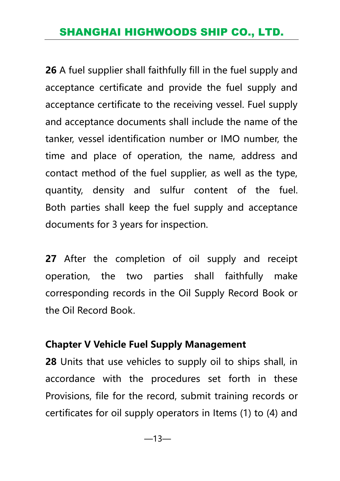**26** A fuel supplier shall faithfully fill in the fuel supply and acceptance certificate and provide the fuel supply and acceptance certificate to the receiving vessel. Fuel supply and acceptance documents shall include the name of the tanker, vessel identification number or IMO number, the time and place of operation, the name, address and contact method of the fuel supplier, as well as the type, quantity, density and sulfur content of the fuel. Both parties shall keep the fuel supply and acceptance documents for 3 years for inspection.

**27** After the completion of oil supply and receipt operation, the two parties shall faithfully make corresponding records in the Oil Supply Record Book or the Oil Record Book.

#### **Chapter V Vehicle Fuel Supply Management**

**28** Units that use vehicles to supply oil to ships shall, in accordance with the procedures set forth in these Provisions, file for the record, submit training records or certificates for oil supply operators in Items (1) to (4) and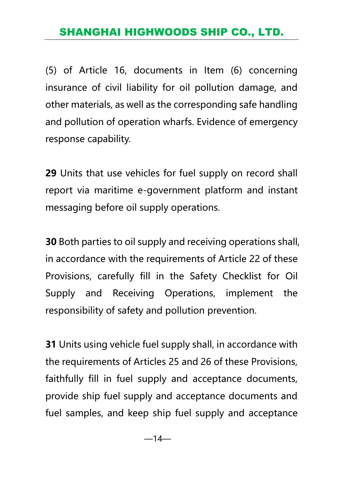(5) of Article 16, documents in Item (6) concerning insurance of civil liability for oil pollution damage, and other materials, as well as the corresponding safe handling and pollution of operation wharfs. Evidence of emergency response capability.

**29** Units that use vehicles for fuel supply on record shall report via maritime e-government platform and instant messaging before oil supply operations.

**30** Both parties to oil supply and receiving operations shall, in accordance with the requirements of Article 22 of these Provisions, carefully fill in the Safety Checklist for Oil Supply and Receiving Operations, implement the responsibility of safety and pollution prevention.

**31** Units using vehicle fuel supply shall, in accordance with the requirements of Articles 25 and 26 of these Provisions, faithfully fill in fuel supply and acceptance documents, provide ship fuel supply and acceptance documents and fuel samples, and keep ship fuel supply and acceptance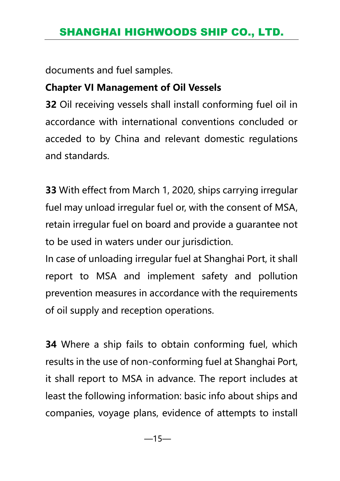documents and fuel samples.

#### **Chapter VI Management of Oil Vessels**

**32** Oil receiving vessels shall install conforming fuel oil in accordance with international conventions concluded or acceded to by China and relevant domestic regulations and standards.

**33** With effect from March 1, 2020, ships carrying irregular fuel may unload irregular fuel or, with the consent of MSA, retain irregular fuel on board and provide a guarantee not to be used in waters under our jurisdiction.

In case of unloading irregular fuel at Shanghai Port, it shall report to MSA and implement safety and pollution prevention measures in accordance with the requirements of oil supply and reception operations.

**34** Where a ship fails to obtain conforming fuel, which results in the use of non-conforming fuel at Shanghai Port, it shall report to MSA in advance. The report includes at least the following information: basic info about ships and companies, voyage plans, evidence of attempts to install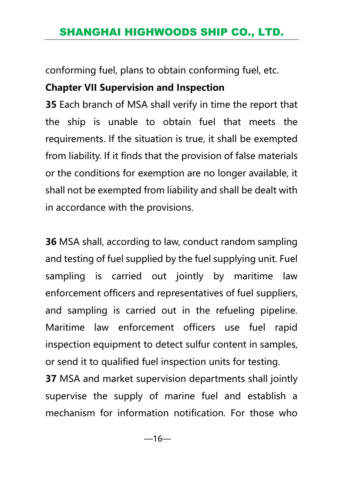conforming fuel, plans to obtain conforming fuel, etc.

# **Chapter VII Supervision and Inspection**

**35** Each branch of MSA shall verify in time the report that the ship is unable to obtain fuel that meets the requirements. If the situation is true, it shall be exempted from liability. If it finds that the provision of false materials or the conditions for exemption are no longer available, it shall not be exempted from liability and shall be dealt with in accordance with the provisions.

**36** MSA shall, according to law, conduct random sampling and testing of fuel supplied by the fuel supplying unit. Fuel sampling is carried out jointly by maritime law enforcement officers and representatives of fuel suppliers, and sampling is carried out in the refueling pipeline. Maritime law enforcement officers use fuel rapid inspection equipment to detect sulfur content in samples, or send it to qualified fuel inspection units for testing.

**37** MSA and market supervision departments shall jointly supervise the supply of marine fuel and establish a mechanism for information notification. For those who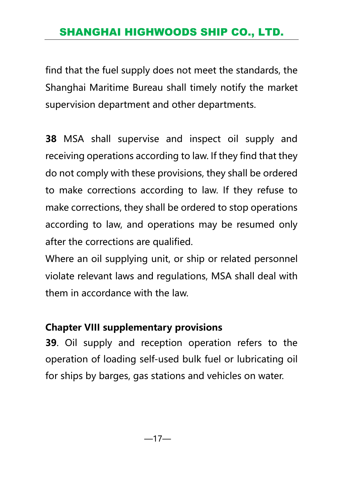find that the fuel supply does not meet the standards, the Shanghai Maritime Bureau shall timely notify the market supervision department and other departments.

**38** MSA shall supervise and inspect oil supply and receiving operations according to law. If they find that they do not comply with these provisions, they shall be ordered to make corrections according to law. If they refuse to make corrections, they shall be ordered to stop operations according to law, and operations may be resumed only after the corrections are qualified.

Where an oil supplying unit, or ship or related personnel violate relevant laws and regulations, MSA shall deal with them in accordance with the law.

#### **Chapter VIII supplementary provisions**

**39**. Oil supply and reception operation refers to the operation of loading self-used bulk fuel or lubricating oil for ships by barges, gas stations and vehicles on water.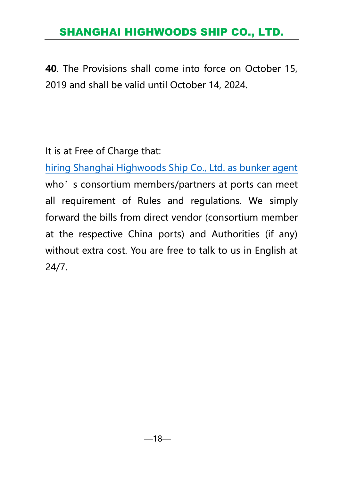**40**. The Provisions shall come into force on October 15, 2019 and shall be valid until October 14, 2024.

It is at Free of Charge that:

[hiring Shanghai Highwoods Ship Co., Ltd. as bunker agent](http://www.shorefacility.com/Annual.pdf) who's consortium members/partners at ports can meet all requirement of Rules and regulations. We simply forward the bills from direct vendor (consortium member at the respective China ports) and Authorities (if any) without extra cost. You are free to talk to us in English at 24/7.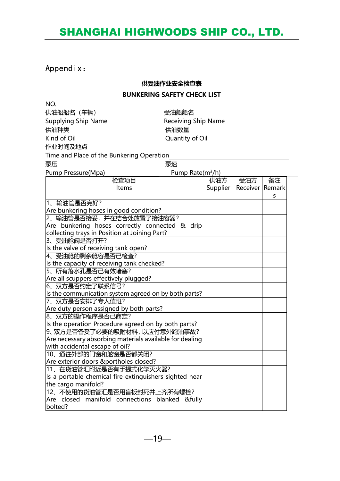#### Appendix:

#### **供受油作业安全检查表**

#### **BUNKERING SAFETY CHECK LIST**

| NO.                                                                                |                                                            |  |                              |    |  |
|------------------------------------------------------------------------------------|------------------------------------------------------------|--|------------------------------|----|--|
| 供油船船名 (车辆)                                                                         | 受油船船名                                                      |  |                              |    |  |
| Supplying Ship Name                                                                | Receiving Ship Name                                        |  |                              |    |  |
| 供油种类                                                                               | 供油数量                                                       |  |                              |    |  |
| Kind of Oil                                                                        | Quantity of Oil <b>Show The Contract Contract Contract</b> |  |                              |    |  |
| 作业时间及地点                                                                            |                                                            |  |                              |    |  |
| Time and Place of the Bunkering Operation                                          |                                                            |  |                              |    |  |
| 泵速<br>泵压                                                                           |                                                            |  |                              |    |  |
| Pump Pressure(Mpa)<br>Pump Rate(m <sup>3</sup> /h)                                 |                                                            |  |                              |    |  |
| 检查项目                                                                               |                                                            |  | 供油方   受油方                    | 备注 |  |
| Items                                                                              |                                                            |  | Supplier   Receiver   Remark |    |  |
|                                                                                    |                                                            |  |                              | s  |  |
| 1、输油管是否完好?                                                                         |                                                            |  |                              |    |  |
| Are bunkering hoses in good condition?                                             |                                                            |  |                              |    |  |
| 2、输油管是否接妥,并在结合处放置了接油容器?                                                            |                                                            |  |                              |    |  |
| Are bunkering hoses correctly connected & drip                                     |                                                            |  |                              |    |  |
| collecting trays in Position at Joining Part?                                      |                                                            |  |                              |    |  |
| 3、受油舱阀是否打开?                                                                        |                                                            |  |                              |    |  |
| Is the valve of receiving tank open?                                               |                                                            |  |                              |    |  |
| 4、受油舱的剩余舱容是否已检查?                                                                   |                                                            |  |                              |    |  |
| Is the capacity of receiving tank checked?                                         |                                                            |  |                              |    |  |
| 5、所有落水孔是否已有效堵塞?                                                                    |                                                            |  |                              |    |  |
| Are all scuppers effectively plugged?                                              |                                                            |  |                              |    |  |
| 6、双方是否约定了联系信号?                                                                     |                                                            |  |                              |    |  |
| Is the communication system agreed on by both parts?                               |                                                            |  |                              |    |  |
| 17、双方是否 <del>安</del> 排了专人值班?                                                       |                                                            |  |                              |    |  |
| Are duty person assigned by both parts?                                            |                                                            |  |                              |    |  |
| 8、双方的操作程序是否已商定?                                                                    |                                                            |  |                              |    |  |
| Is the operation Procedure agreed on by both parts?<br>9、双方是否备妥了必要的吸附材料,以应付意外跑油事故? |                                                            |  |                              |    |  |
| Are necessary absorbing materials available for dealing                            |                                                            |  |                              |    |  |
| with accidental escape of oil?                                                     |                                                            |  |                              |    |  |
| 10、通往外部的门窗和舷窗是否都关闭?                                                                |                                                            |  |                              |    |  |
| Are exterior doors &portholes closed?                                              |                                                            |  |                              |    |  |
| 11、在货油管汇附近是否有手提式化学灭火器?                                                             |                                                            |  |                              |    |  |
| Is a portable chemical fire extinguishers sighted near                             |                                                            |  |                              |    |  |
| the cargo manifold?                                                                |                                                            |  |                              |    |  |
| 12、不使用的货油管汇是否用盲板封死并上齐所有螺栓?                                                         |                                                            |  |                              |    |  |
| Are closed manifold connections blanked &fully                                     |                                                            |  |                              |    |  |
| bolted?                                                                            |                                                            |  |                              |    |  |